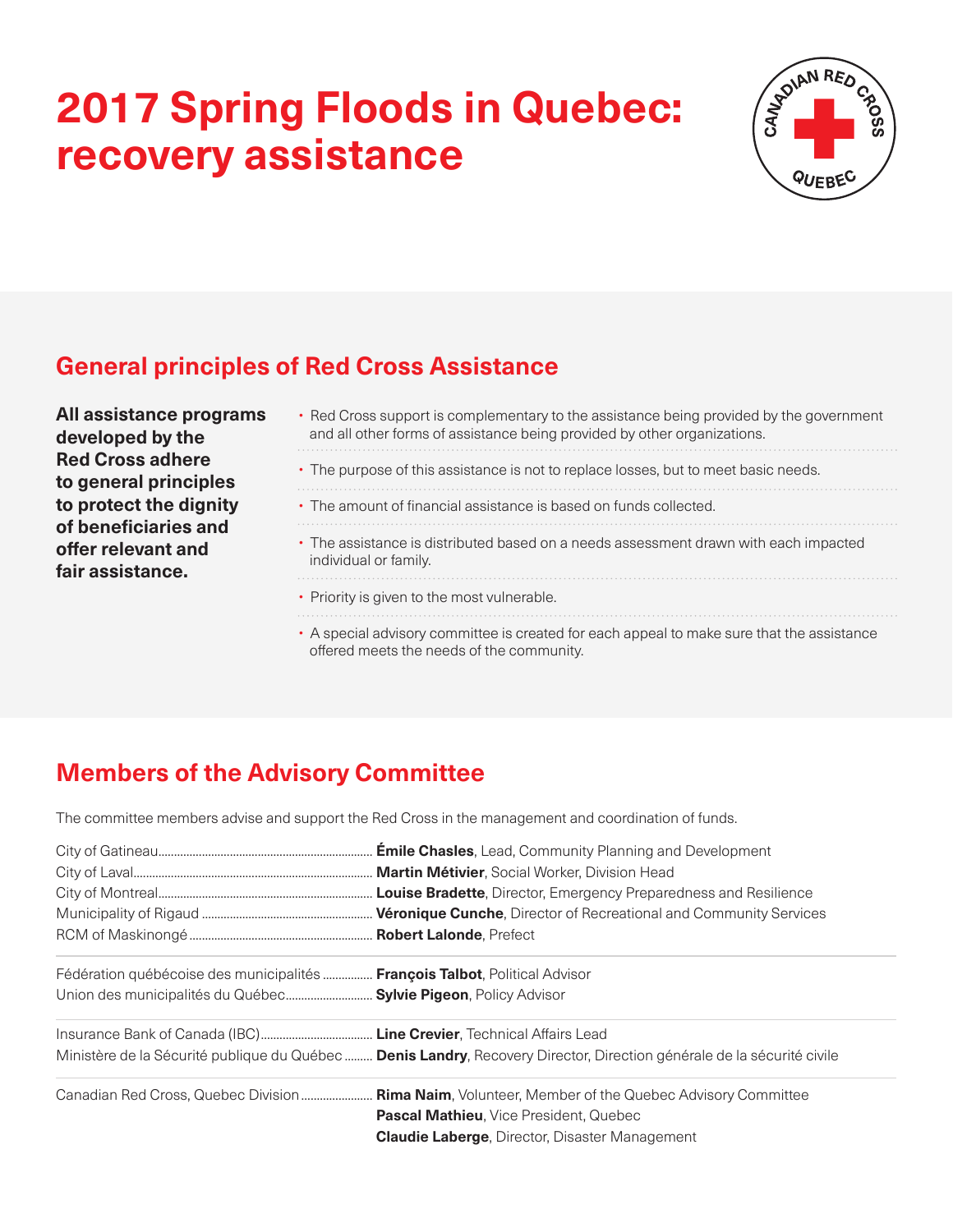## **2017 Spring Floods in Quebec: recovery assistance**



## **General principles of Red Cross Assistance**

**All assistance programs developed by the Red Cross adhere to general principles to protect the dignity of beneficiaries and offer relevant and fair assistance.**

- Red Cross support is complementary to the assistance being provided by the government and all other forms of assistance being provided by other organizations. • The purpose of this assistance is not to replace losses, but to meet basic needs. • The amount of financial assistance is based on funds collected. • The assistance is distributed based on a needs assessment drawn with each impacted individual or family. • Priority is given to the most vulnerable.
	- A special advisory committee is created for each appeal to make sure that the assistance offered meets the needs of the community.

## **Members of the Advisory Committee**

The committee members advise and support the Red Cross in the management and coordination of funds.

| Fédération québécoise des municipalités <b>François Talbot</b> , Political Advisor |                                                                                                                        |
|------------------------------------------------------------------------------------|------------------------------------------------------------------------------------------------------------------------|
| Union des municipalités du Québec Sylvie Pigeon, Policy Advisor                    |                                                                                                                        |
|                                                                                    |                                                                                                                        |
|                                                                                    | Ministère de la Sécurité publique du Québec  Denis Landry, Recovery Director, Direction générale de la sécurité civile |
|                                                                                    | Canadian Red Cross, Quebec Division Rima Naim, Volunteer, Member of the Quebec Advisory Committee                      |
|                                                                                    | <b>Pascal Mathieu, Vice President, Quebec</b>                                                                          |
|                                                                                    | <b>Claudie Laberge, Director, Disaster Management</b>                                                                  |